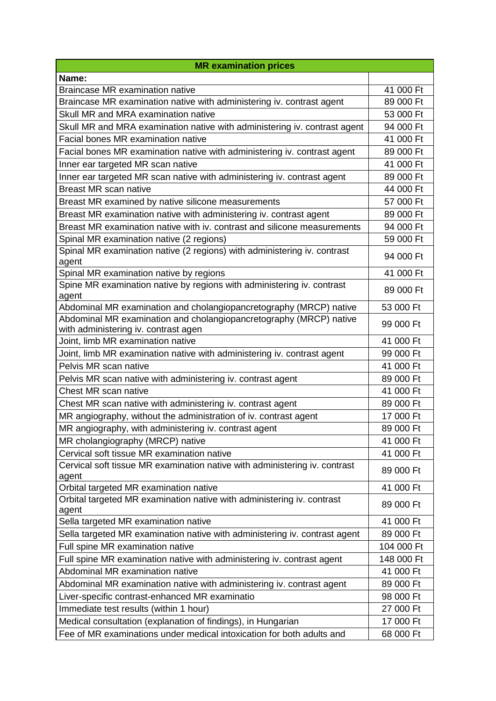| <b>MR examination prices</b>                                                                               |            |
|------------------------------------------------------------------------------------------------------------|------------|
| Name:                                                                                                      |            |
| <b>Braincase MR examination native</b>                                                                     | 41 000 Ft  |
| Braincase MR examination native with administering iv. contrast agent                                      | 89 000 Ft  |
| Skull MR and MRA examination native                                                                        | 53 000 Ft  |
| Skull MR and MRA examination native with administering iv. contrast agent                                  | 94 000 Ft  |
| Facial bones MR examination native                                                                         | 41 000 Ft  |
| Facial bones MR examination native with administering iv. contrast agent                                   | 89 000 Ft  |
| Inner ear targeted MR scan native                                                                          | 41 000 Ft  |
| Inner ear targeted MR scan native with administering iv. contrast agent                                    | 89 000 Ft  |
| Breast MR scan native                                                                                      | 44 000 Ft  |
| Breast MR examined by native silicone measurements                                                         | 57 000 Ft  |
| Breast MR examination native with administering iv. contrast agent                                         | 89 000 Ft  |
| Breast MR examination native with iv. contrast and silicone measurements                                   | 94 000 Ft  |
| Spinal MR examination native (2 regions)                                                                   | 59 000 Ft  |
| Spinal MR examination native (2 regions) with administering iv. contrast<br>agent                          | 94 000 Ft  |
| Spinal MR examination native by regions                                                                    | 41 000 Ft  |
| Spine MR examination native by regions with administering iv. contrast<br>agent                            | 89 000 Ft  |
| Abdominal MR examination and cholangiopancretography (MRCP) native                                         | 53 000 Ft  |
| Abdominal MR examination and cholangiopancretography (MRCP) native<br>with administering iv. contrast agen | 99 000 Ft  |
| Joint, limb MR examination native                                                                          | 41 000 Ft  |
| Joint, limb MR examination native with administering iv. contrast agent                                    | 99 000 Ft  |
| Pelvis MR scan native                                                                                      | 41 000 Ft  |
| Pelvis MR scan native with administering iv. contrast agent                                                | 89 000 Ft  |
| Chest MR scan native                                                                                       | 41 000 Ft  |
| Chest MR scan native with administering iv. contrast agent                                                 | 89 000 Ft  |
| MR angiography, without the administration of iv. contrast agent                                           | 17 000 Ft  |
| MR angiography, with administering iv. contrast agent                                                      | 89 000 Ft  |
| MR cholangiography (MRCP) native                                                                           | 41 000 Ft  |
| Cervical soft tissue MR examination native                                                                 | 41 000 Ft  |
| Cervical soft tissue MR examination native with administering iv. contrast<br>agent                        | 89 000 Ft  |
| Orbital targeted MR examination native                                                                     | 41 000 Ft  |
| Orbital targeted MR examination native with administering iv. contrast<br>agent                            | 89 000 Ft  |
| Sella targeted MR examination native                                                                       | 41 000 Ft  |
| Sella targeted MR examination native with administering iv. contrast agent                                 | 89 000 Ft  |
| Full spine MR examination native                                                                           | 104 000 Ft |
| Full spine MR examination native with administering iv. contrast agent                                     | 148 000 Ft |
| Abdominal MR examination native                                                                            | 41 000 Ft  |
| Abdominal MR examination native with administering iv. contrast agent                                      | 89 000 Ft  |
| Liver-specific contrast-enhanced MR examinatio                                                             | 98 000 Ft  |
| Immediate test results (within 1 hour)                                                                     | 27 000 Ft  |
| Medical consultation (explanation of findings), in Hungarian                                               | 17 000 Ft  |
| Fee of MR examinations under medical intoxication for both adults and                                      | 68 000 Ft  |